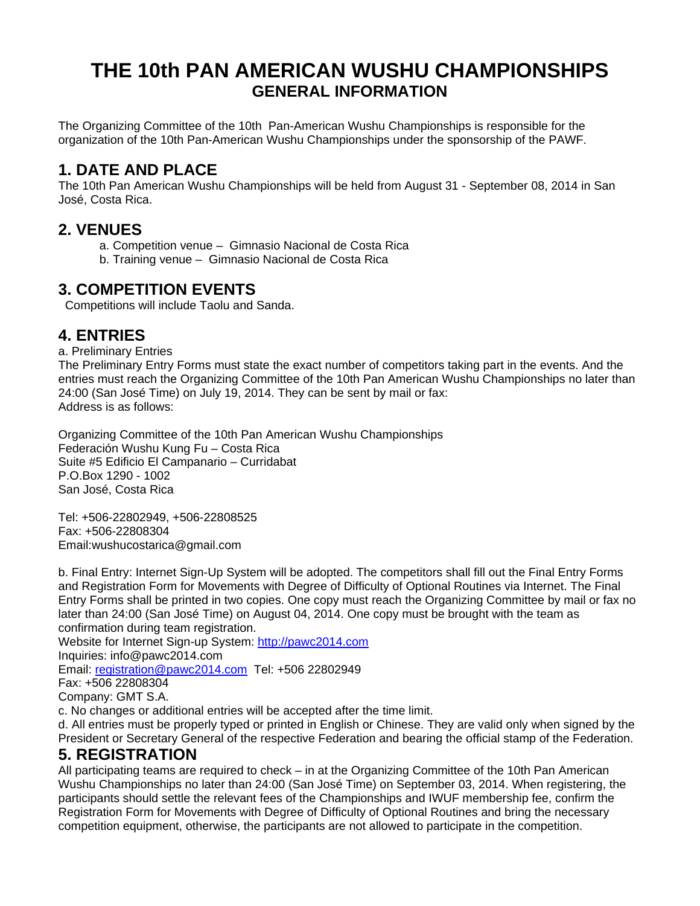# **THE 10th PAN AMERICAN WUSHU CHAMPIONSHIPS GENERAL INFORMATION**

The Organizing Committee of the 10th Pan-American Wushu Championships is responsible for the organization of the 10th Pan-American Wushu Championships under the sponsorship of the PAWF.

# **1. DATE AND PLACE**

The 10th Pan American Wushu Championships will be held from August 31 - September 08, 2014 in San José, Costa Rica.

### **2. VENUES**

- a. Competition venue Gimnasio Nacional de Costa Rica
- b. Training venue Gimnasio Nacional de Costa Rica

## **3. COMPETITION EVENTS**

Competitions will include Taolu and Sanda.

# **4. ENTRIES**

a. Preliminary Entries

The Preliminary Entry Forms must state the exact number of competitors taking part in the events. And the entries must reach the Organizing Committee of the 10th Pan American Wushu Championships no later than 24:00 (San José Time) on July 19, 2014. They can be sent by mail or fax: Address is as follows:

Organizing Committee of the 10th Pan American Wushu Championships Federación Wushu Kung Fu – Costa Rica Suite #5 Edificio El Campanario – Curridabat P.O.Box 1290 - 1002 San José, Costa Rica

Tel: +506-22802949, +506-22808525 Fax: +506-22808304 Email:wushucostarica@gmail.com

b. Final Entry: Internet Sign-Up System will be adopted. The competitors shall fill out the Final Entry Forms and Registration Form for Movements with Degree of Difficulty of Optional Routines via Internet. The Final Entry Forms shall be printed in two copies. One copy must reach the Organizing Committee by mail or fax no later than 24:00 (San José Time) on August 04, 2014. One copy must be brought with the team as confirmation during team registration.

Website for Internet Sign-up System: [http://pawc2014.com](http://pawc2014.com/)

Inquiries: info@pawc2014.com

Email: [registration@pawc2014.com](mailto:registration@pawc2014.com) Tel: +506 22802949

Fax: +506 22808304

Company: GMT S.A.

c. No changes or additional entries will be accepted after the time limit.

d. All entries must be properly typed or printed in English or Chinese. They are valid only when signed by the President or Secretary General of the respective Federation and bearing the official stamp of the Federation.

### **5. REGISTRATION**

All participating teams are required to check – in at the Organizing Committee of the 10th Pan American Wushu Championships no later than 24:00 (San José Time) on September 03, 2014. When registering, the participants should settle the relevant fees of the Championships and IWUF membership fee, confirm the Registration Form for Movements with Degree of Difficulty of Optional Routines and bring the necessary competition equipment, otherwise, the participants are not allowed to participate in the competition.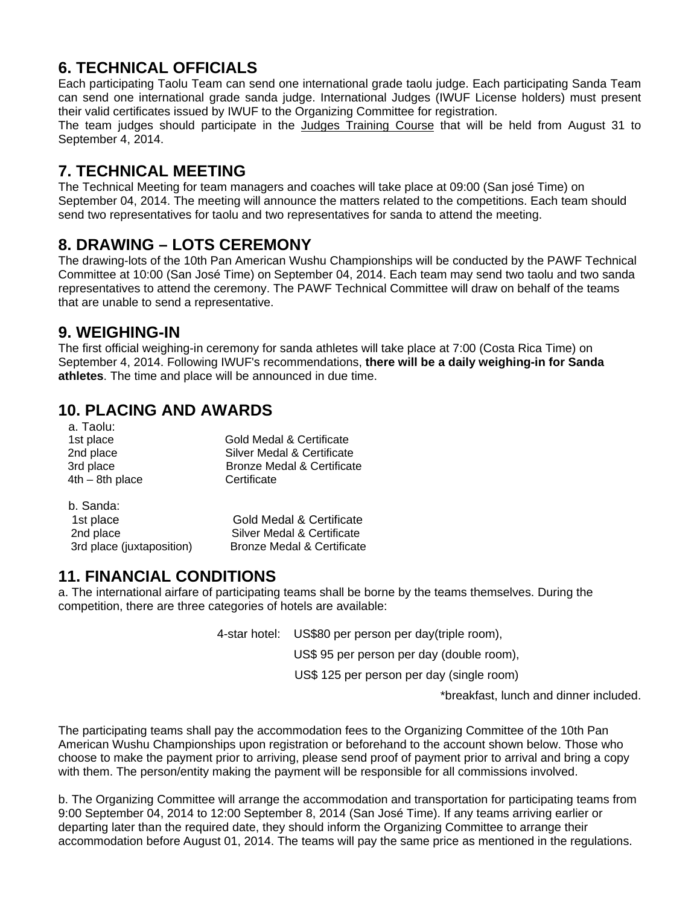# **6. TECHNICAL OFFICIALS**

Each participating Taolu Team can send one international grade taolu judge. Each participating Sanda Team can send one international grade sanda judge. International Judges (IWUF License holders) must present their valid certificates issued by IWUF to the Organizing Committee for registration. The team judges should participate in the Judges Training Course that will be held from August 31 to

September 4, 2014.

# **7. TECHNICAL MEETING**

The Technical Meeting for team managers and coaches will take place at 09:00 (San josé Time) on September 04, 2014. The meeting will announce the matters related to the competitions. Each team should send two representatives for taolu and two representatives for sanda to attend the meeting.

# **8. DRAWING – LOTS CEREMONY**

The drawing-lots of the 10th Pan American Wushu Championships will be conducted by the PAWF Technical Committee at 10:00 (San José Time) on September 04, 2014. Each team may send two taolu and two sanda representatives to attend the ceremony. The PAWF Technical Committee will draw on behalf of the teams that are unable to send a representative.

## **9. WEIGHING-IN**

The first official weighing-in ceremony for sanda athletes will take place at 7:00 (Costa Rica Time) on September 4, 2014. Following IWUF's recommendations, **there will be a daily weighing-in for Sanda athletes**. The time and place will be announced in due time.

# **10. PLACING AND AWARDS**

 a. Taolu: 1st place Gold Medal & Certificate<br>
2nd place Controller Silver Medal & Certificate Silver Medal & Certificate 3rd place Bronze Medal & Certificate 4th – 8th place Certificate

b. Sanda:

1st place Gold Medal & Certificate 2nd place Silver Medal & Certificate 3rd place (juxtaposition) Bronze Medal & Certificate

# **11. FINANCIAL CONDITIONS**

a. The international airfare of participating teams shall be borne by the teams themselves. During the competition, there are three categories of hotels are available:

4-star hotel: US\$80 per person per day(triple room),

US\$ 95 per person per day (double room),

US\$ 125 per person per day (single room)

\*breakfast, lunch and dinner included.

The participating teams shall pay the accommodation fees to the Organizing Committee of the 10th Pan American Wushu Championships upon registration or beforehand to the account shown below. Those who choose to make the payment prior to arriving, please send proof of payment prior to arrival and bring a copy with them. The person/entity making the payment will be responsible for all commissions involved.

b. The Organizing Committee will arrange the accommodation and transportation for participating teams from 9:00 September 04, 2014 to 12:00 September 8, 2014 (San José Time). If any teams arriving earlier or departing later than the required date, they should inform the Organizing Committee to arrange their accommodation before August 01, 2014. The teams will pay the same price as mentioned in the regulations.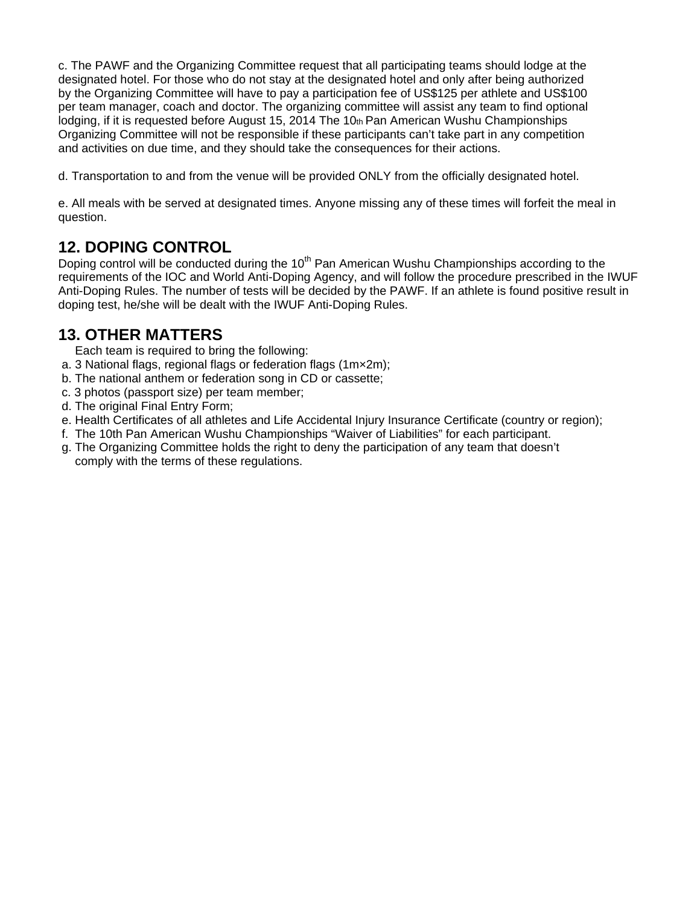c. The PAWF and the Organizing Committee request that all participating teams should lodge at the designated hotel. For those who do not stay at the designated hotel and only after being authorized by the Organizing Committee will have to pay a participation fee of US\$125 per athlete and US\$100 per team manager, coach and doctor. The organizing committee will assist any team to find optional lodging, if it is requested before August 15, 2014 The 10th Pan American Wushu Championships Organizing Committee will not be responsible if these participants can't take part in any competition and activities on due time, and they should take the consequences for their actions.

d. Transportation to and from the venue will be provided ONLY from the officially designated hotel.

e. All meals with be served at designated times. Anyone missing any of these times will forfeit the meal in question.

### **12. DOPING CONTROL**

Doping control will be conducted during the  $10<sup>th</sup>$  Pan American Wushu Championships according to the requirements of the IOC and World Anti-Doping Agency, and will follow the procedure prescribed in the IWUF Anti-Doping Rules. The number of tests will be decided by the PAWF. If an athlete is found positive result in doping test, he/she will be dealt with the IWUF Anti-Doping Rules.

## **13. OTHER MATTERS**

Each team is required to bring the following:

- a. 3 National flags, regional flags or federation flags (1m×2m);
- b. The national anthem or federation song in CD or cassette;
- c. 3 photos (passport size) per team member;
- d. The original Final Entry Form;
- e. Health Certificates of all athletes and Life Accidental Injury Insurance Certificate (country or region);
- f. The 10th Pan American Wushu Championships "Waiver of Liabilities" for each participant.
- g. The Organizing Committee holds the right to deny the participation of any team that doesn't comply with the terms of these regulations.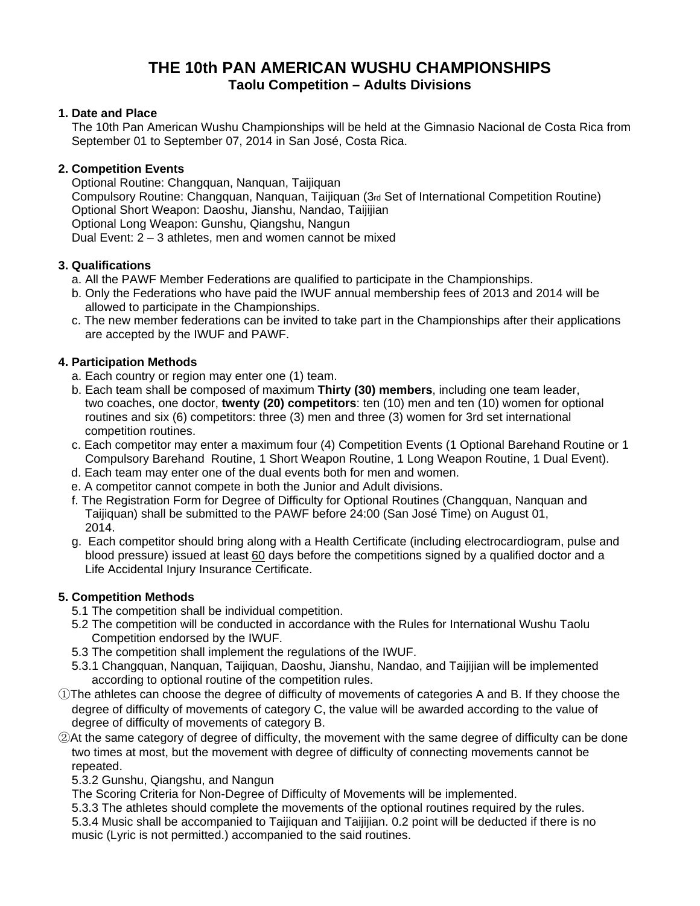### **THE 10th PAN AMERICAN WUSHU CHAMPIONSHIPS Taolu Competition – Adults Divisions**

#### **1. Date and Place**

 The 10th Pan American Wushu Championships will be held at the Gimnasio Nacional de Costa Rica from September 01 to September 07, 2014 in San José, Costa Rica.

#### **2. Competition Events**

 Optional Routine: Changquan, Nanquan, Taijiquan Compulsory Routine: Changquan, Nanquan, Taijiquan (3rd Set of International Competition Routine) Optional Short Weapon: Daoshu, Jianshu, Nandao, Taijijian Optional Long Weapon: Gunshu, Qiangshu, Nangun Dual Event: 2 – 3 athletes, men and women cannot be mixed

#### **3. Qualifications**

- a. All the PAWF Member Federations are qualified to participate in the Championships.
- b. Only the Federations who have paid the IWUF annual membership fees of 2013 and 2014 will be allowed to participate in the Championships.
- c. The new member federations can be invited to take part in the Championships after their applications are accepted by the IWUF and PAWF.

#### **4. Participation Methods**

- a. Each country or region may enter one (1) team.
- b. Each team shall be composed of maximum **Thirty (30) members**, including one team leader, two coaches, one doctor, **twenty (20) competitors**: ten (10) men and ten (10) women for optional routines and six (6) competitors: three (3) men and three (3) women for 3rd set international competition routines.
- c. Each competitor may enter a maximum four (4) Competition Events (1 Optional Barehand Routine or 1 Compulsory Barehand Routine, 1 Short Weapon Routine, 1 Long Weapon Routine, 1 Dual Event).
- d. Each team may enter one of the dual events both for men and women.
- e. A competitor cannot compete in both the Junior and Adult divisions.
- f. The Registration Form for Degree of Difficulty for Optional Routines (Changquan, Nanquan and Taijiquan) shall be submitted to the PAWF before 24:00 (San José Time) on August 01, 2014.
- g. Each competitor should bring along with a Health Certificate (including electrocardiogram, pulse and blood pressure) issued at least 60 days before the competitions signed by a qualified doctor and a Life Accidental Injury Insurance Certificate.

#### **5. Competition Methods**

- 5.1 The competition shall be individual competition.
- 5.2 The competition will be conducted in accordance with the Rules for International Wushu Taolu Competition endorsed by the IWUF.
- 5.3 The competition shall implement the regulations of the IWUF.
- 5.3.1 Changquan, Nanquan, Taijiquan, Daoshu, Jianshu, Nandao, and Taijijian will be implemented according to optional routine of the competition rules.
- ①The athletes can choose the degree of difficulty of movements of categories A and B. If they choose the degree of difficulty of movements of category C, the value will be awarded according to the value of degree of difficulty of movements of category B.
- ②At the same category of degree of difficulty, the movement with the same degree of difficulty can be done two times at most, but the movement with degree of difficulty of connecting movements cannot be repeated.

5.3.2 Gunshu, Qiangshu, and Nangun

The Scoring Criteria for Non-Degree of Difficulty of Movements will be implemented.

 5.3.3 The athletes should complete the movements of the optional routines required by the rules. 5.3.4 Music shall be accompanied to Taijiquan and Taijijian. 0.2 point will be deducted if there is no music (Lyric is not permitted.) accompanied to the said routines.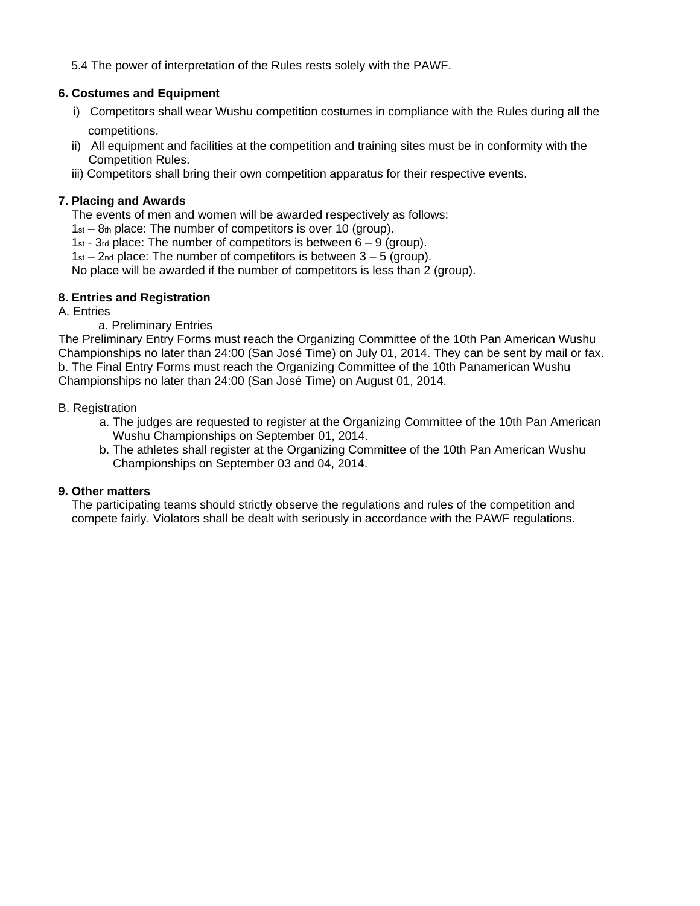5.4 The power of interpretation of the Rules rests solely with the PAWF.

#### **6. Costumes and Equipment**

- i) Competitors shall wear Wushu competition costumes in compliance with the Rules during all the competitions.
- ii) All equipment and facilities at the competition and training sites must be in conformity with the Competition Rules.
- iii) Competitors shall bring their own competition apparatus for their respective events.

#### **7. Placing and Awards**

The events of men and women will be awarded respectively as follows:

1st – 8th place: The number of competitors is over 10 (group).

1st - 3rd place: The number of competitors is between  $6 - 9$  (group).

 $1st - 2nd$  place: The number of competitors is between  $3 - 5$  (group).

No place will be awarded if the number of competitors is less than 2 (group).

#### **8. Entries and Registration**

A. Entries

#### a. Preliminary Entries

The Preliminary Entry Forms must reach the Organizing Committee of the 10th Pan American Wushu Championships no later than 24:00 (San José Time) on July 01, 2014. They can be sent by mail or fax. b. The Final Entry Forms must reach the Organizing Committee of the 10th Panamerican Wushu Championships no later than 24:00 (San José Time) on August 01, 2014.

#### B. Registration

- a. The judges are requested to register at the Organizing Committee of the 10th Pan American Wushu Championships on September 01, 2014.
- b. The athletes shall register at the Organizing Committee of the 10th Pan American Wushu Championships on September 03 and 04, 2014.

#### **9. Other matters**

 The participating teams should strictly observe the regulations and rules of the competition and compete fairly. Violators shall be dealt with seriously in accordance with the PAWF regulations.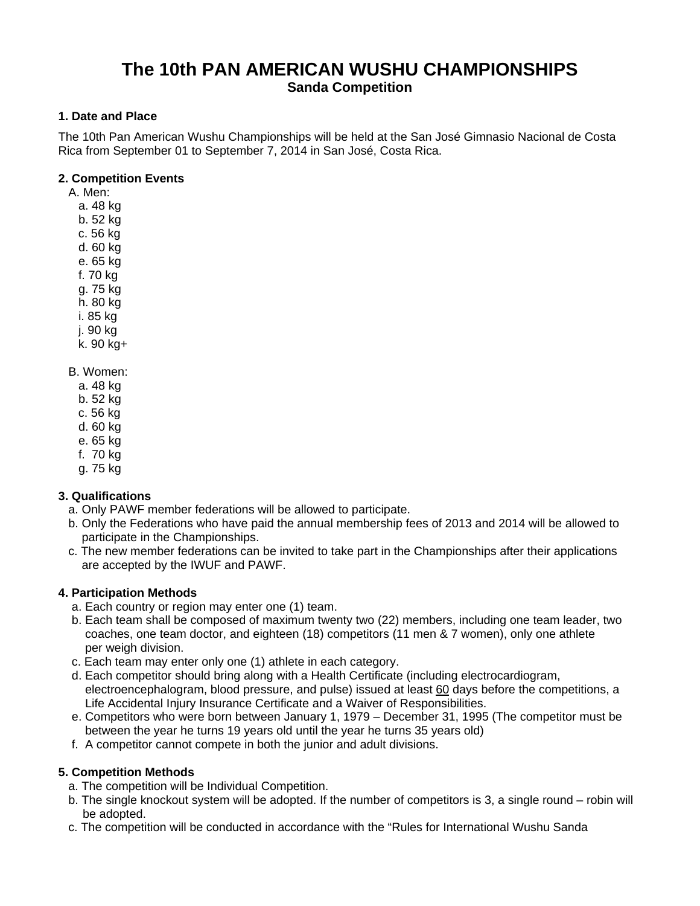### **The 10th PAN AMERICAN WUSHU CHAMPIONSHIPS Sanda Competition**

#### **1. Date and Place**

The 10th Pan American Wushu Championships will be held at the San José Gimnasio Nacional de Costa Rica from September 01 to September 7, 2014 in San José, Costa Rica.

#### **2. Competition Events**

A. Men:

- a. 48 kg
- b. 52 kg
- c. 56 kg
- d. 60 kg
- e. 65 kg
- f. 70 kg
- g. 75 kg
- h. 80 kg
- i. 85 kg
- j. 90 kg
- k. 90 kg+
- B. Women:
	- a. 48 kg
	- b. 52 kg
	- c. 56 kg
	- d. 60 kg
	- e. 65 kg
	- f. 70 kg
	- g. 75 kg

#### **3. Qualifications**

- a. Only PAWF member federations will be allowed to participate.
- b. Only the Federations who have paid the annual membership fees of 2013 and 2014 will be allowed to participate in the Championships.
- c. The new member federations can be invited to take part in the Championships after their applications are accepted by the IWUF and PAWF.

#### **4. Participation Methods**

- a. Each country or region may enter one (1) team.
- b. Each team shall be composed of maximum twenty two (22) members, including one team leader, two coaches, one team doctor, and eighteen (18) competitors (11 men & 7 women), only one athlete per weigh division.
- c. Each team may enter only one (1) athlete in each category.
- d. Each competitor should bring along with a Health Certificate (including electrocardiogram, electroencephalogram, blood pressure, and pulse) issued at least 60 days before the competitions, a Life Accidental Injury Insurance Certificate and a Waiver of Responsibilities.
- e. Competitors who were born between January 1, 1979 December 31, 1995 (The competitor must be between the year he turns 19 years old until the year he turns 35 years old)
- f. A competitor cannot compete in both the junior and adult divisions.

#### **5. Competition Methods**

- a. The competition will be Individual Competition.
- b. The single knockout system will be adopted. If the number of competitors is 3, a single round robin will be adopted.
- c. The competition will be conducted in accordance with the "Rules for International Wushu Sanda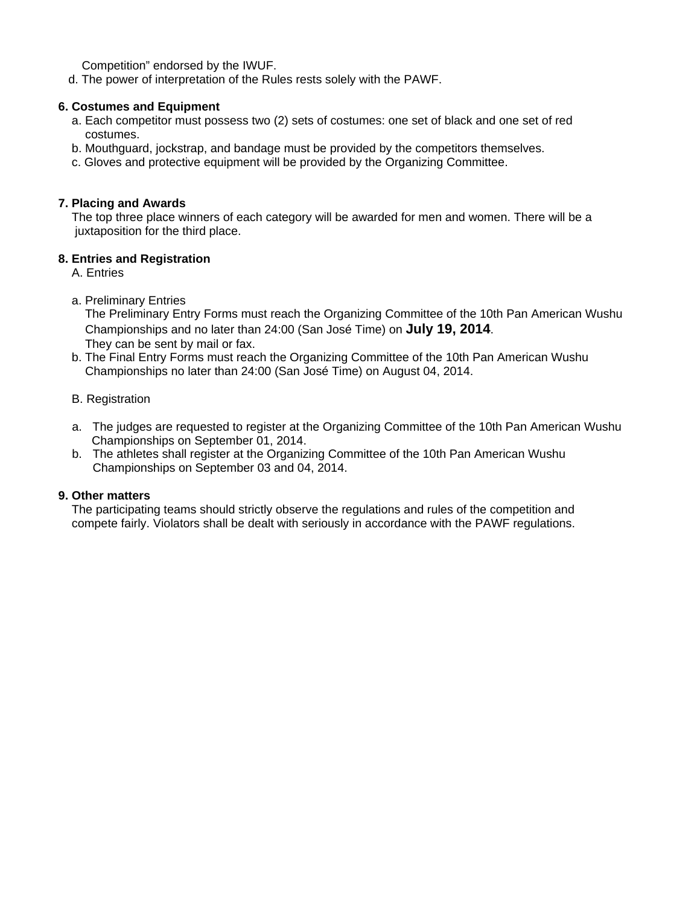Competition" endorsed by the IWUF.

d. The power of interpretation of the Rules rests solely with the PAWF.

#### **6. Costumes and Equipment**

- a. Each competitor must possess two (2) sets of costumes: one set of black and one set of red costumes.
- b. Mouthguard, jockstrap, and bandage must be provided by the competitors themselves.
- c. Gloves and protective equipment will be provided by the Organizing Committee.

#### **7. Placing and Awards**

The top three place winners of each category will be awarded for men and women. There will be a juxtaposition for the third place.

#### **8. Entries and Registration**

A. Entries

a. Preliminary Entries

 The Preliminary Entry Forms must reach the Organizing Committee of the 10th Pan American Wushu Championships and no later than 24:00 (San José Time) on **July 19, 2014**. They can be sent by mail or fax.

 b. The Final Entry Forms must reach the Organizing Committee of the 10th Pan American Wushu Championships no later than 24:00 (San José Time) on August 04, 2014.

#### B. Registration

- a. The judges are requested to register at the Organizing Committee of the 10th Pan American Wushu Championships on September 01, 2014.
- b. The athletes shall register at the Organizing Committee of the 10th Pan American Wushu Championships on September 03 and 04, 2014.

#### **9. Other matters**

 The participating teams should strictly observe the regulations and rules of the competition and compete fairly. Violators shall be dealt with seriously in accordance with the PAWF regulations.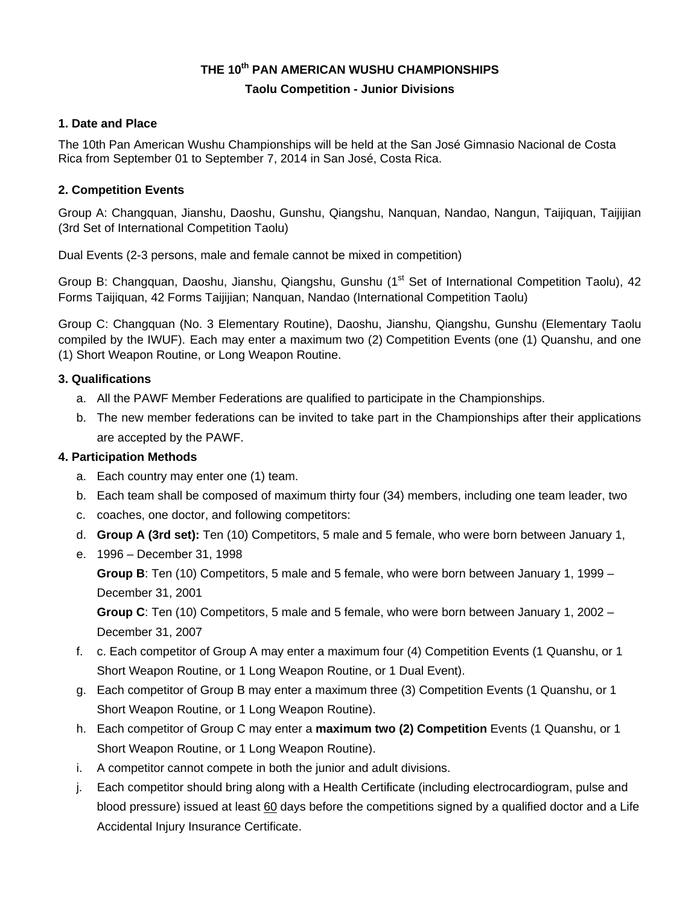#### **THE 10th PAN AMERICAN WUSHU CHAMPIONSHIPS**

#### **Taolu Competition - Junior Divisions**

#### **1. Date and Place**

The 10th Pan American Wushu Championships will be held at the San José Gimnasio Nacional de Costa Rica from September 01 to September 7, 2014 in San José, Costa Rica.

#### **2. Competition Events**

Group A: Changquan, Jianshu, Daoshu, Gunshu, Qiangshu, Nanquan, Nandao, Nangun, Taijiquan, Taijijian (3rd Set of International Competition Taolu)

Dual Events (2-3 persons, male and female cannot be mixed in competition)

Group B: Changquan, Daoshu, Jianshu, Qiangshu, Gunshu (1<sup>st</sup> Set of International Competition Taolu), 42 Forms Taijiquan, 42 Forms Taijijian; Nanquan, Nandao (International Competition Taolu)

Group C: Changquan (No. 3 Elementary Routine), Daoshu, Jianshu, Qiangshu, Gunshu (Elementary Taolu compiled by the IWUF). Each may enter a maximum two (2) Competition Events (one (1) Quanshu, and one (1) Short Weapon Routine, or Long Weapon Routine.

#### **3. Qualifications**

- a. All the PAWF Member Federations are qualified to participate in the Championships.
- b. The new member federations can be invited to take part in the Championships after their applications are accepted by the PAWF.

#### **4. Participation Methods**

- a. Each country may enter one (1) team.
- b. Each team shall be composed of maximum thirty four (34) members, including one team leader, two
- c. coaches, one doctor, and following competitors:
- d. **Group A (3rd set):** Ten (10) Competitors, 5 male and 5 female, who were born between January 1,
- e. 1996 December 31, 1998

**Group B**: Ten (10) Competitors, 5 male and 5 female, who were born between January 1, 1999 – December 31, 2001

**Group C**: Ten (10) Competitors, 5 male and 5 female, who were born between January 1, 2002 – December 31, 2007

- f. c. Each competitor of Group A may enter a maximum four (4) Competition Events (1 Quanshu, or 1 Short Weapon Routine, or 1 Long Weapon Routine, or 1 Dual Event).
- g. Each competitor of Group B may enter a maximum three (3) Competition Events (1 Quanshu, or 1 Short Weapon Routine, or 1 Long Weapon Routine).
- h. Each competitor of Group C may enter a **maximum two (2) Competition** Events (1 Quanshu, or 1 Short Weapon Routine, or 1 Long Weapon Routine).
- i. A competitor cannot compete in both the junior and adult divisions.
- j. Each competitor should bring along with a Health Certificate (including electrocardiogram, pulse and blood pressure) issued at least 60 days before the competitions signed by a qualified doctor and a Life Accidental Injury Insurance Certificate.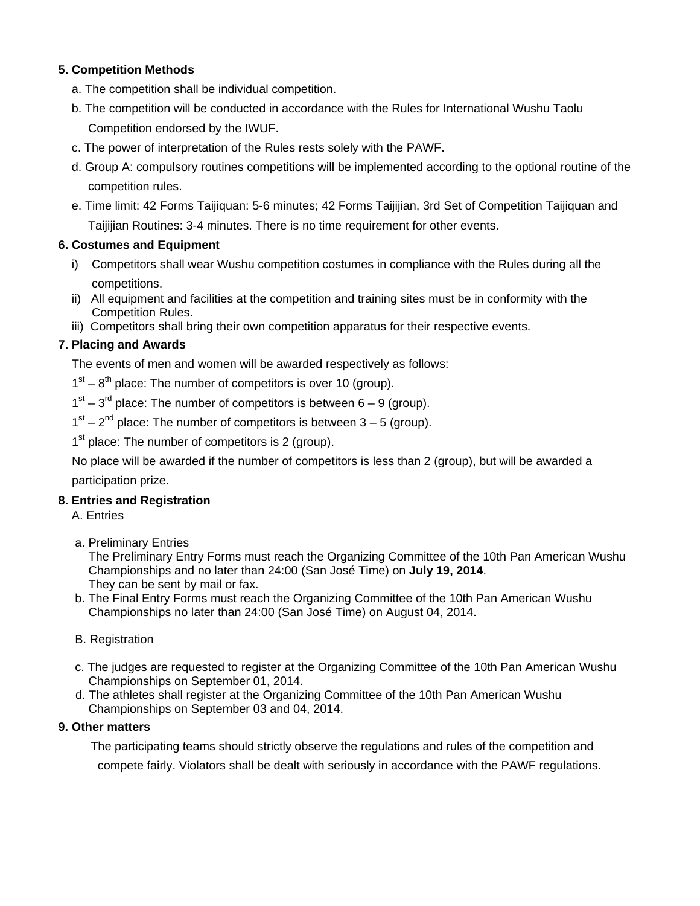#### **5. Competition Methods**

- a. The competition shall be individual competition.
- b. The competition will be conducted in accordance with the Rules for International Wushu Taolu Competition endorsed by the IWUF.
- c. The power of interpretation of the Rules rests solely with the PAWF.
- d. Group A: compulsory routines competitions will be implemented according to the optional routine of the competition rules.
- e. Time limit: 42 Forms Taijiquan: 5-6 minutes; 42 Forms Taijijian, 3rd Set of Competition Taijiquan and Taijijian Routines: 3-4 minutes. There is no time requirement for other events.

#### **6. Costumes and Equipment**

- i) Competitors shall wear Wushu competition costumes in compliance with the Rules during all the competitions.
- ii) All equipment and facilities at the competition and training sites must be in conformity with the Competition Rules.
- iii) Competitors shall bring their own competition apparatus for their respective events.

#### **7. Placing and Awards**

The events of men and women will be awarded respectively as follows:

 $1<sup>st</sup> - 8<sup>th</sup>$  place: The number of competitors is over 10 (group).

 $1<sup>st</sup> - 3<sup>rd</sup>$  place: The number of competitors is between 6 – 9 (group).

 $1<sup>st</sup> - 2<sup>nd</sup>$  place: The number of competitors is between 3 – 5 (group).

 $1<sup>st</sup>$  place: The number of competitors is 2 (group).

No place will be awarded if the number of competitors is less than 2 (group), but will be awarded a participation prize.

#### **8. Entries and Registration**

A. Entries

a. Preliminary Entries

 The Preliminary Entry Forms must reach the Organizing Committee of the 10th Pan American Wushu Championships and no later than 24:00 (San José Time) on **July 19, 2014**. They can be sent by mail or fax.

 b. The Final Entry Forms must reach the Organizing Committee of the 10th Pan American Wushu Championships no later than 24:00 (San José Time) on August 04, 2014.

#### B. Registration

- c. The judges are requested to register at the Organizing Committee of the 10th Pan American Wushu Championships on September 01, 2014.
- d. The athletes shall register at the Organizing Committee of the 10th Pan American Wushu Championships on September 03 and 04, 2014.

#### **9. Other matters**

The participating teams should strictly observe the regulations and rules of the competition and compete fairly. Violators shall be dealt with seriously in accordance with the PAWF regulations.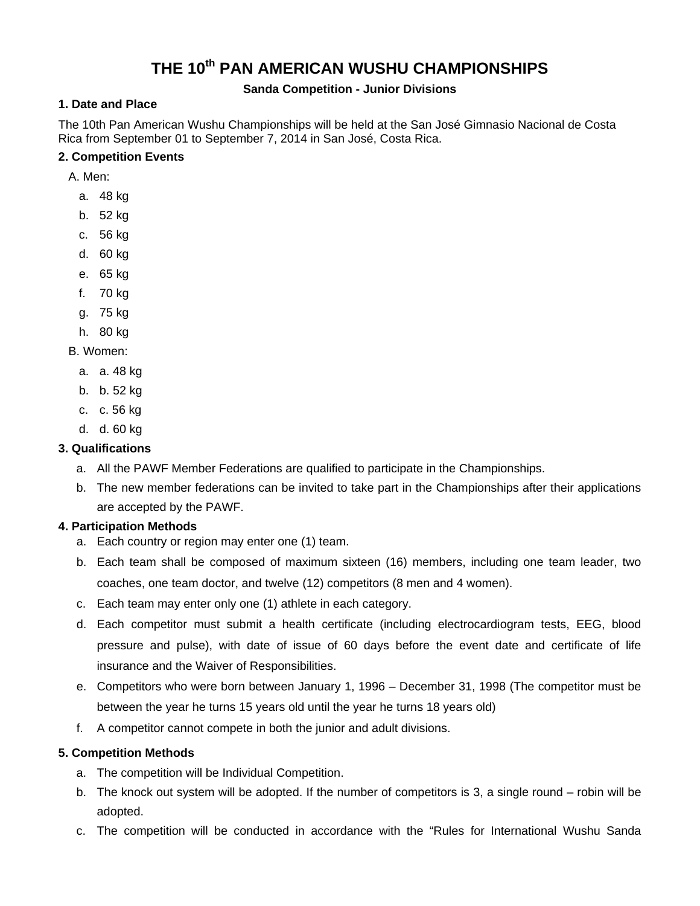# **THE 10th PAN AMERICAN WUSHU CHAMPIONSHIPS**

#### **Sanda Competition - Junior Divisions**

#### **1. Date and Place**

The 10th Pan American Wushu Championships will be held at the San José Gimnasio Nacional de Costa Rica from September 01 to September 7, 2014 in San José, Costa Rica.

#### **2. Competition Events**

A. Men:

- a. 48 kg
- b. 52 kg
- c. 56 kg
- d. 60 kg
- e. 65 kg
- f. 70 kg
- g. 75 kg
- h. 80 kg

#### B. Women:

- a. a. 48 kg
- b. b. 52 kg
- c. c. 56 kg
- d. d. 60 kg

#### **3. Qualifications**

- a. All the PAWF Member Federations are qualified to participate in the Championships.
- b. The new member federations can be invited to take part in the Championships after their applications are accepted by the PAWF.

#### **4. Participation Methods**

- a. Each country or region may enter one (1) team.
- b. Each team shall be composed of maximum sixteen (16) members, including one team leader, two coaches, one team doctor, and twelve (12) competitors (8 men and 4 women).
- c. Each team may enter only one (1) athlete in each category.
- d. Each competitor must submit a health certificate (including electrocardiogram tests, EEG, blood pressure and pulse), with date of issue of 60 days before the event date and certificate of life insurance and the Waiver of Responsibilities.
- e. Competitors who were born between January 1, 1996 December 31, 1998 (The competitor must be between the year he turns 15 years old until the year he turns 18 years old)
- f. A competitor cannot compete in both the junior and adult divisions.

#### **5. Competition Methods**

- a. The competition will be Individual Competition.
- b. The knock out system will be adopted. If the number of competitors is 3, a single round robin will be adopted.
- c. The competition will be conducted in accordance with the "Rules for International Wushu Sanda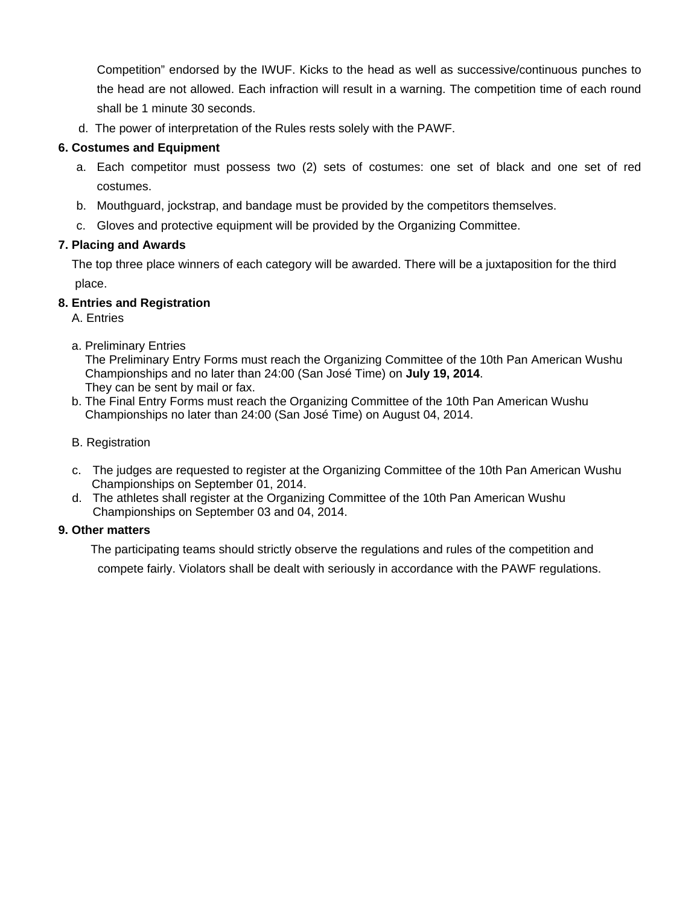Competition" endorsed by the IWUF. Kicks to the head as well as successive/continuous punches to the head are not allowed. Each infraction will result in a warning. The competition time of each round shall be 1 minute 30 seconds.

d. The power of interpretation of the Rules rests solely with the PAWF.

#### **6. Costumes and Equipment**

- a. Each competitor must possess two (2) sets of costumes: one set of black and one set of red costumes.
- b. Mouthguard, jockstrap, and bandage must be provided by the competitors themselves.
- c. Gloves and protective equipment will be provided by the Organizing Committee.

#### **7. Placing and Awards**

The top three place winners of each category will be awarded. There will be a juxtaposition for the third place.

#### **8. Entries and Registration**

A. Entries

a. Preliminary Entries

 The Preliminary Entry Forms must reach the Organizing Committee of the 10th Pan American Wushu Championships and no later than 24:00 (San José Time) on **July 19, 2014**. They can be sent by mail or fax.

- b. The Final Entry Forms must reach the Organizing Committee of the 10th Pan American Wushu Championships no later than 24:00 (San José Time) on August 04, 2014.
- B. Registration
- c. The judges are requested to register at the Organizing Committee of the 10th Pan American Wushu Championships on September 01, 2014.
- d. The athletes shall register at the Organizing Committee of the 10th Pan American Wushu Championships on September 03 and 04, 2014.

#### **9. Other matters**

The participating teams should strictly observe the regulations and rules of the competition and compete fairly. Violators shall be dealt with seriously in accordance with the PAWF regulations.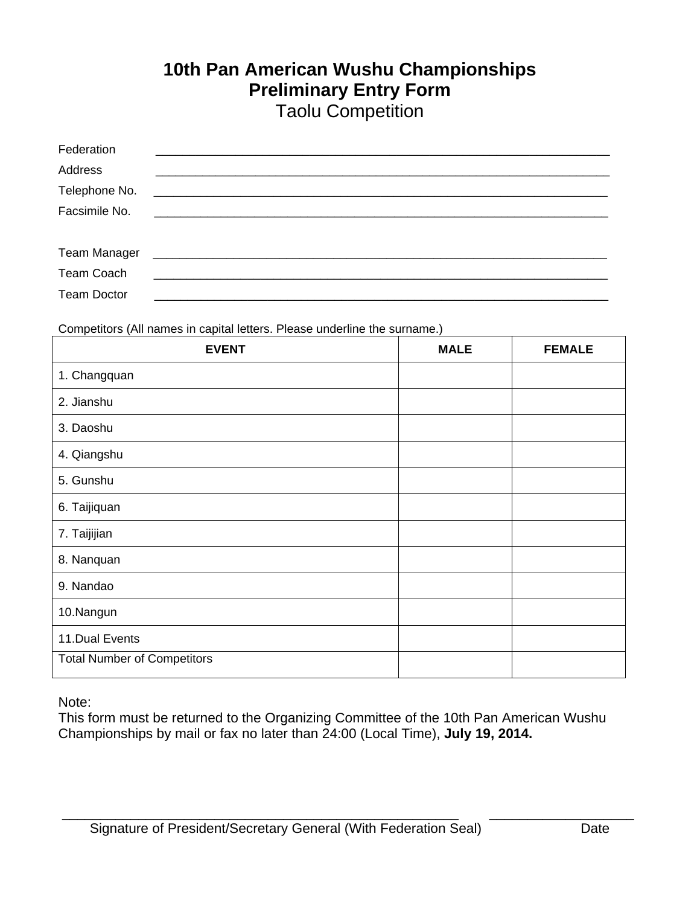# **10th Pan American Wushu Championships Preliminary Entry Form** Taolu Competition

| Federation         |                                                                                                                       |
|--------------------|-----------------------------------------------------------------------------------------------------------------------|
| Address            |                                                                                                                       |
| Telephone No.      | <u> 1989 - Jan Barbara de Santo de Santo de Santo de Santo de Santo de Santo de Santo de Santo de Santo de Santo </u> |
| Facsimile No.      |                                                                                                                       |
|                    |                                                                                                                       |
| Team Manager       |                                                                                                                       |
| <b>Team Coach</b>  |                                                                                                                       |
| <b>Team Doctor</b> |                                                                                                                       |

Competitors (All names in capital letters. Please underline the surname.)

| <b>EVENT</b>                       | <b>MALE</b> | <b>FEMALE</b> |
|------------------------------------|-------------|---------------|
| 1. Changquan                       |             |               |
| 2. Jianshu                         |             |               |
| 3. Daoshu                          |             |               |
| 4. Qiangshu                        |             |               |
| 5. Gunshu                          |             |               |
| 6. Taijiquan                       |             |               |
| 7. Taijijian                       |             |               |
| 8. Nanquan                         |             |               |
| 9. Nandao                          |             |               |
| 10.Nangun                          |             |               |
| 11. Dual Events                    |             |               |
| <b>Total Number of Competitors</b> |             |               |

Note:

This form must be returned to the Organizing Committee of the 10th Pan American Wushu Championships by mail or fax no later than 24:00 (Local Time), **July 19, 2014.**

\_\_\_\_\_\_\_\_\_\_\_\_\_\_\_\_\_\_\_\_\_\_\_\_\_\_\_\_\_\_\_\_\_\_\_\_\_\_\_\_\_\_\_\_\_\_\_\_\_\_\_\_ \_\_\_\_\_\_\_\_\_\_\_\_\_\_\_\_\_\_\_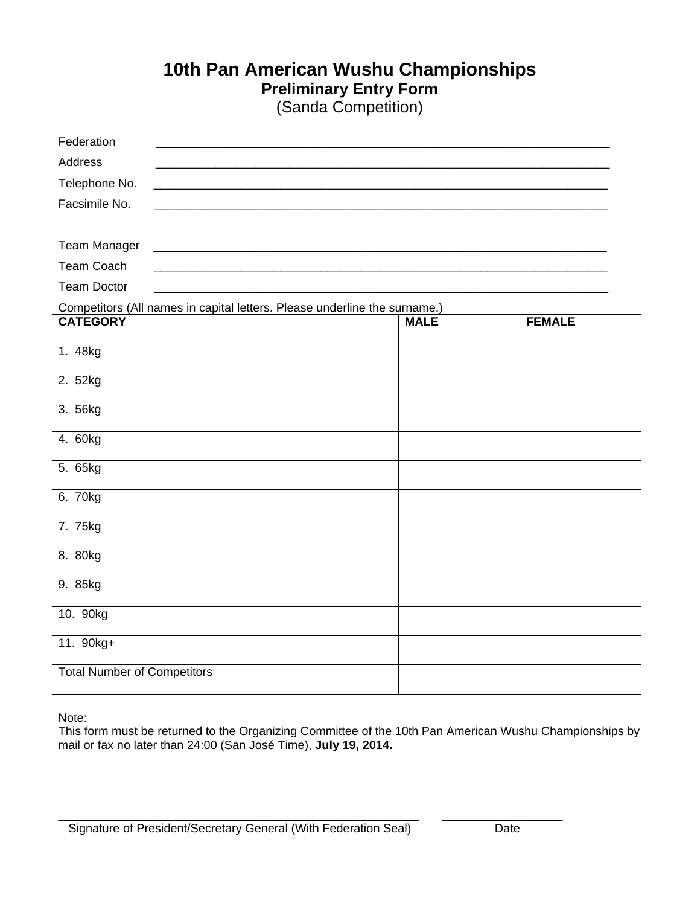# **10th Pan American Wushu Championships Preliminary Entry Form**

(Sanda Competition)

| Federation                                                                               |             |               |
|------------------------------------------------------------------------------------------|-------------|---------------|
| <b>Address</b>                                                                           |             |               |
| Telephone No.                                                                            |             |               |
| Facsimile No.                                                                            |             |               |
|                                                                                          |             |               |
| <b>Team Manager</b><br><u> 1980 - Johann John Stone, mars eta biztanleria (h. 1980).</u> |             |               |
| <b>Team Coach</b>                                                                        |             |               |
| <b>Team Doctor</b>                                                                       |             |               |
| Competitors (All names in capital letters. Please underline the surname.)                |             |               |
| <b>CATEGORY</b>                                                                          | <b>MALE</b> | <b>FEMALE</b> |
| 1. 48kg                                                                                  |             |               |
| 2. 52kg                                                                                  |             |               |
| 3. 56kg                                                                                  |             |               |
| 4. 60kg                                                                                  |             |               |
| 5. 65kg                                                                                  |             |               |
| 6. 70kg                                                                                  |             |               |
| 7. 75kg                                                                                  |             |               |
| 8. 80kg                                                                                  |             |               |
| 9. 85kg                                                                                  |             |               |
| 10. 90kg                                                                                 |             |               |
| 11. 90kg+                                                                                |             |               |
| <b>Total Number of Competitors</b>                                                       |             |               |

Note:

This form must be returned to the Organizing Committee of the 10th Pan American Wushu Championships by mail or fax no later than 24:00 (San José Time), **July 19, 2014.** 

 $\Box$  . The contribution of the contribution of the contribution of the contribution of the contribution of the contribution of the contribution of the contribution of the contribution of the contribution of the contributi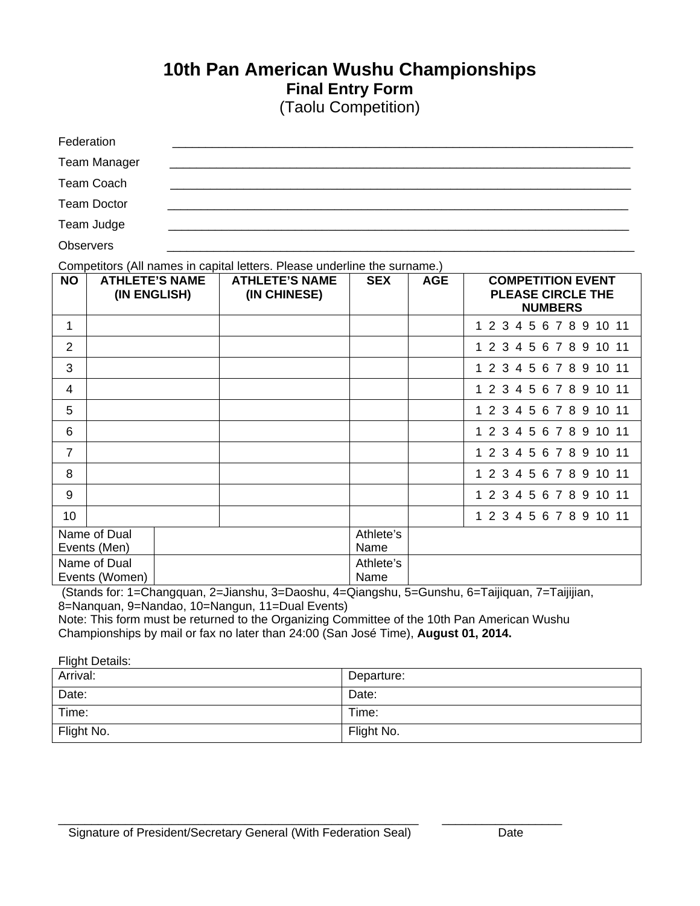## **10th Pan American Wushu Championships Final Entry Form** (Taolu Competition)

| Federation          |  |  |
|---------------------|--|--|
| <b>Team Manager</b> |  |  |
| Team Coach          |  |  |
| <b>Team Doctor</b>  |  |  |
| Team Judge          |  |  |

Observers \_\_\_\_\_\_\_\_\_\_\_\_\_\_\_\_\_\_\_\_\_\_\_\_\_\_\_\_\_\_\_\_\_\_\_\_\_\_\_\_\_\_\_\_\_\_\_\_\_\_\_\_\_\_\_\_\_\_\_\_\_\_\_\_\_\_\_\_\_\_

Competitors (All names in capital letters. Please underline the surname.)

| <b>NO</b>       | <b>ATHLETE'S NAME</b><br>(IN ENGLISH) | <b>ATHLETE'S NAME</b><br>(IN CHINESE) | <b>SEX</b> | <b>AGE</b> | <b>COMPETITION EVENT</b><br><b>PLEASE CIRCLE THE</b><br><b>NUMBERS</b> |
|-----------------|---------------------------------------|---------------------------------------|------------|------------|------------------------------------------------------------------------|
| 1               |                                       |                                       |            |            | 1 2 3 4 5 6 7 8 9 10 11                                                |
| $\overline{2}$  |                                       |                                       |            |            | 1 2 3 4 5 6 7 8 9 10 11                                                |
| 3               |                                       |                                       |            |            | 1 2 3 4 5 6 7 8 9 10 11                                                |
| $\overline{4}$  |                                       |                                       |            |            | 1 2 3 4 5 6 7 8 9 10 11                                                |
| 5               |                                       |                                       |            |            | 1 2 3 4 5 6 7 8 9 10 11                                                |
| 6               |                                       |                                       |            |            | 1 2 3 4 5 6 7 8 9 10 11                                                |
| $\overline{7}$  |                                       |                                       |            |            | 1 2 3 4 5 6 7 8 9 10 11                                                |
| 8               |                                       |                                       |            |            | 1 2 3 4 5 6 7 8 9 10 11                                                |
| 9               |                                       |                                       |            |            | 1 2 3 4 5 6 7 8 9 10 11                                                |
| 10 <sup>1</sup> |                                       |                                       |            |            | 1 2 3 4 5 6 7 8 9 10 11                                                |
|                 | Name of Dual                          |                                       | Athlete's  |            |                                                                        |
|                 | Events (Men)                          |                                       | Name       |            |                                                                        |
|                 | Name of Dual                          |                                       | Athlete's  |            |                                                                        |
|                 | Events (Women)                        |                                       | Name       |            |                                                                        |

 (Stands for: 1=Changquan, 2=Jianshu, 3=Daoshu, 4=Qiangshu, 5=Gunshu, 6=Taijiquan, 7=Taijijian, 8=Nanquan, 9=Nandao, 10=Nangun, 11=Dual Events)

Note: This form must be returned to the Organizing Committee of the 10th Pan American Wushu Championships by mail or fax no later than 24:00 (San José Time), **August 01, 2014.** 

 $\Box$ 

| Flight Details: |            |
|-----------------|------------|
| Arrival:        | Departure: |
| Date:           | Date:      |
| Time:           | Time:      |
| Flight No.      | Flight No. |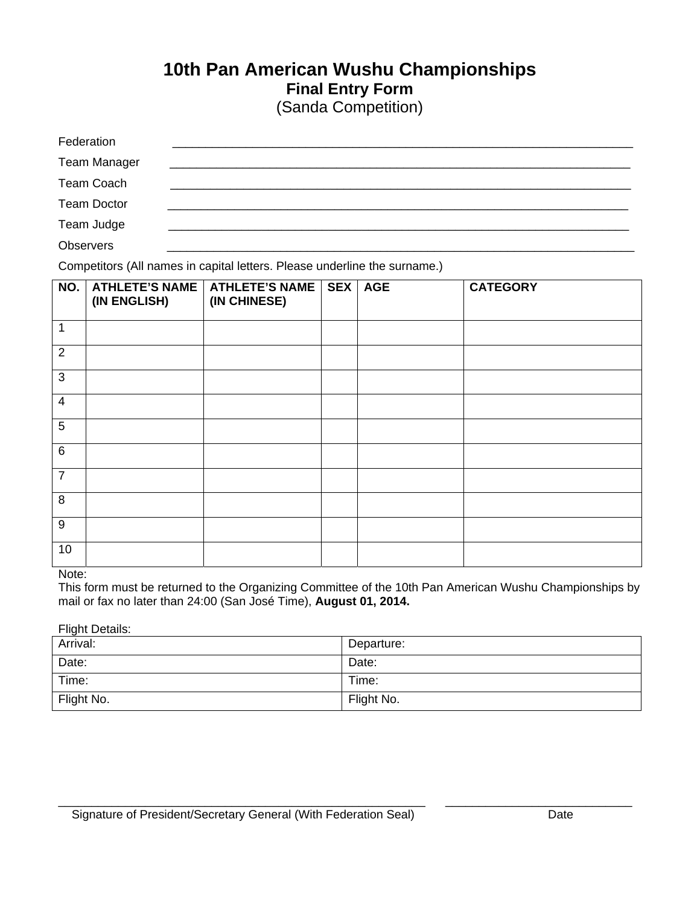# **10th Pan American Wushu Championships Final Entry Form**

| (Sanda Competition) |  |
|---------------------|--|
|---------------------|--|

| Federation          |  |
|---------------------|--|
| <b>Team Manager</b> |  |
| Team Coach          |  |
| <b>Team Doctor</b>  |  |
| Team Judge          |  |
| <b>Observers</b>    |  |

Competitors (All names in capital letters. Please underline the surname.)

| NO.            | <b>ATHLETE'S NAME</b><br>(IN ENGLISH) | ATHLETE'S NAME<br>(IN CHINESE) | SEX AGE | <b>CATEGORY</b> |
|----------------|---------------------------------------|--------------------------------|---------|-----------------|
| 1              |                                       |                                |         |                 |
| $\overline{2}$ |                                       |                                |         |                 |
| $\mathbf{3}$   |                                       |                                |         |                 |
| $\overline{4}$ |                                       |                                |         |                 |
| 5              |                                       |                                |         |                 |
| $\,6\,$        |                                       |                                |         |                 |
| $\overline{7}$ |                                       |                                |         |                 |
| 8              |                                       |                                |         |                 |
| $9\,$          |                                       |                                |         |                 |
| 10             |                                       |                                |         |                 |

#### Note:

This form must be returned to the Organizing Committee of the 10th Pan American Wushu Championships by mail or fax no later than 24:00 (San José Time), **August 01, 2014.**

#### **Flight Details:**

| Arrival:   | Departure: |
|------------|------------|
| Date:      | Date:      |
| Time:      | Time:      |
| Flight No. | Flight No. |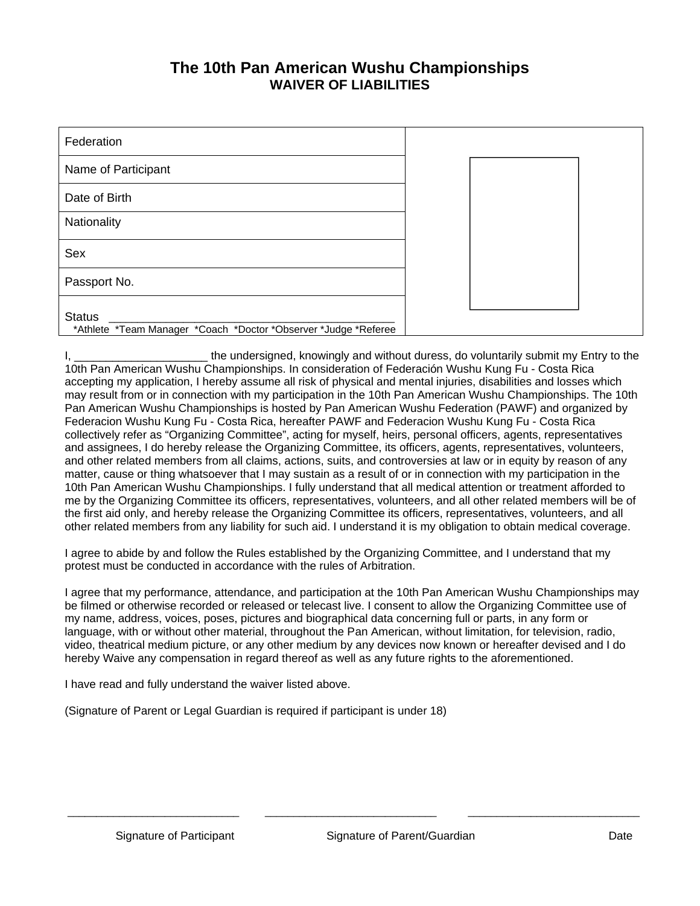### **The 10th Pan American Wushu Championships WAIVER OF LIABILITIES**

| Federation                                                                       |  |  |
|----------------------------------------------------------------------------------|--|--|
| Name of Participant                                                              |  |  |
| Date of Birth                                                                    |  |  |
| Nationality                                                                      |  |  |
| Sex                                                                              |  |  |
| Passport No.                                                                     |  |  |
| <b>Status</b><br>*Athlete *Team Manager *Coach *Doctor *Observer *Judge *Referee |  |  |

the undersigned, knowingly and without duress, do voluntarily submit my Entry to the 10th Pan American Wushu Championships. In consideration of Federación Wushu Kung Fu - Costa Rica accepting my application, I hereby assume all risk of physical and mental injuries, disabilities and losses which may result from or in connection with my participation in the 10th Pan American Wushu Championships. The 10th Pan American Wushu Championships is hosted by Pan American Wushu Federation (PAWF) and organized by Federacion Wushu Kung Fu - Costa Rica, hereafter PAWF and Federacion Wushu Kung Fu - Costa Rica collectively refer as "Organizing Committee", acting for myself, heirs, personal officers, agents, representatives and assignees, I do hereby release the Organizing Committee, its officers, agents, representatives, volunteers, and other related members from all claims, actions, suits, and controversies at law or in equity by reason of any matter, cause or thing whatsoever that I may sustain as a result of or in connection with my participation in the 10th Pan American Wushu Championships. I fully understand that all medical attention or treatment afforded to me by the Organizing Committee its officers, representatives, volunteers, and all other related members will be of the first aid only, and hereby release the Organizing Committee its officers, representatives, volunteers, and all other related members from any liability for such aid. I understand it is my obligation to obtain medical coverage.

I agree to abide by and follow the Rules established by the Organizing Committee, and I understand that my protest must be conducted in accordance with the rules of Arbitration.

I agree that my performance, attendance, and participation at the 10th Pan American Wushu Championships may be filmed or otherwise recorded or released or telecast live. I consent to allow the Organizing Committee use of my name, address, voices, poses, pictures and biographical data concerning full or parts, in any form or language, with or without other material, throughout the Pan American, without limitation, for television, radio, video, theatrical medium picture, or any other medium by any devices now known or hereafter devised and I do hereby Waive any compensation in regard thereof as well as any future rights to the aforementioned.

\_\_\_\_\_\_\_\_\_\_\_\_\_\_\_\_\_\_\_\_\_\_\_\_\_\_\_\_\_\_ \_\_\_\_\_\_\_\_\_\_\_\_\_\_\_\_\_\_\_\_\_\_\_\_\_\_\_\_\_\_ \_\_\_\_\_\_\_\_\_\_\_\_\_\_\_\_\_\_\_\_\_\_\_\_\_\_\_\_\_\_

I have read and fully understand the waiver listed above.

(Signature of Parent or Legal Guardian is required if participant is under 18)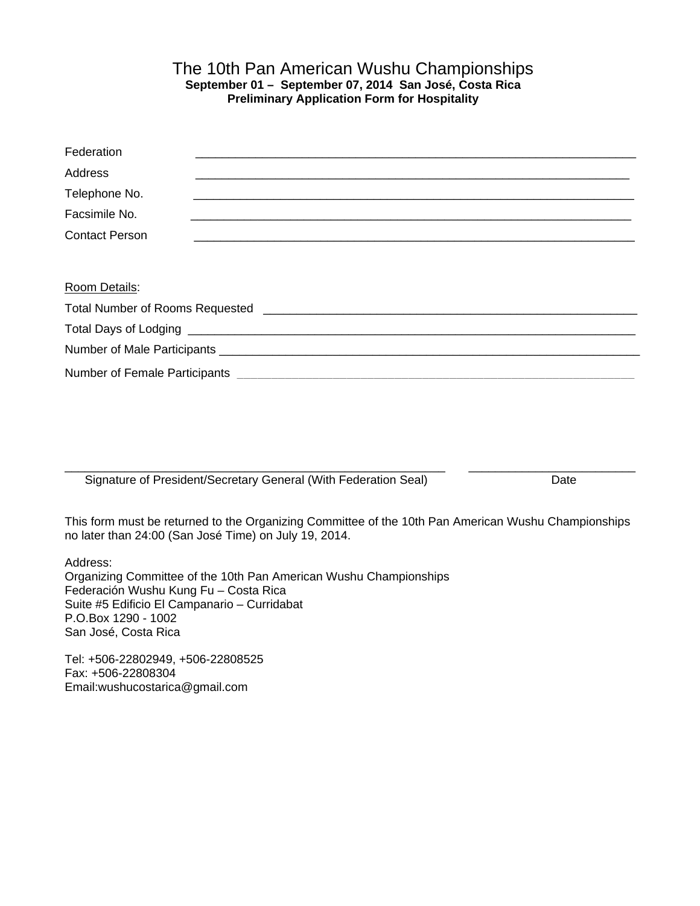#### The 10th Pan American Wushu Championships **September 01 – September 07, 2014 San José, Costa Rica Preliminary Application Form for Hospitality**

| Federation            |  |
|-----------------------|--|
| <b>Address</b>        |  |
| Telephone No.         |  |
| Facsimile No.         |  |
| <b>Contact Person</b> |  |
|                       |  |
| Room Details:         |  |
|                       |  |
|                       |  |
|                       |  |
|                       |  |
|                       |  |

\_\_\_\_\_\_\_\_\_\_\_\_\_\_\_\_\_\_\_\_\_\_\_\_\_\_\_\_\_\_\_\_\_\_\_\_\_\_\_\_\_\_\_\_\_\_\_\_\_\_\_\_\_\_\_\_\_ \_\_\_\_\_\_\_\_\_\_\_\_\_\_\_\_\_\_\_\_\_\_\_\_\_ Signature of President/Secretary General (With Federation Seal) Date

This form must be returned to the Organizing Committee of the 10th Pan American Wushu Championships no later than 24:00 (San José Time) on July 19, 2014.

Address: Organizing Committee of the 10th Pan American Wushu Championships Federación Wushu Kung Fu – Costa Rica Suite #5 Edificio El Campanario – Curridabat P.O.Box 1290 - 1002 San José, Costa Rica

Tel: +506-22802949, +506-22808525 Fax: +506-22808304 Email:wushucostarica@gmail.com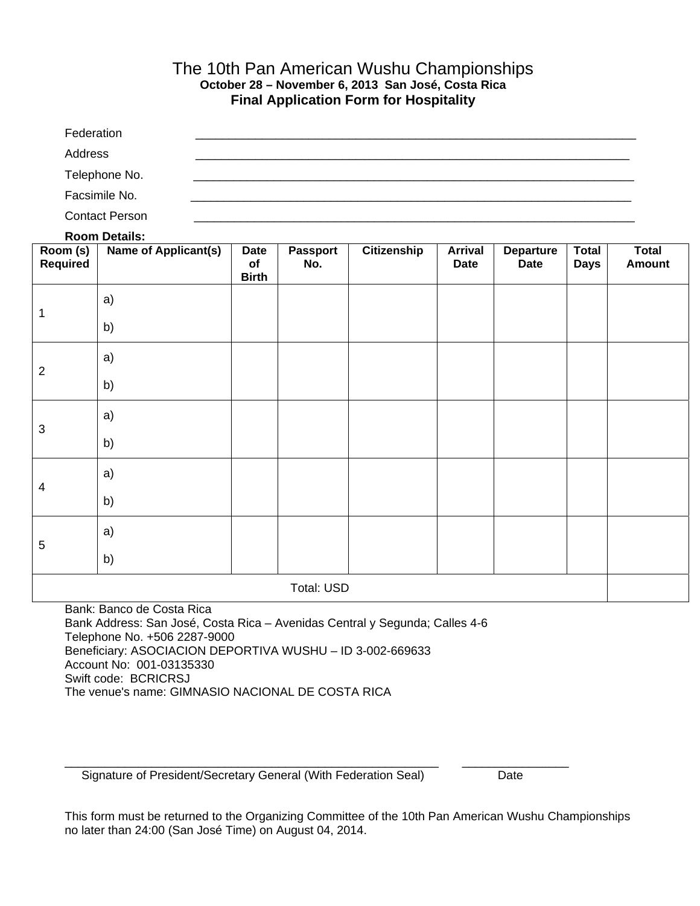#### The 10th Pan American Wushu Championships **October 28 – November 6, 2013 San José, Costa Rica Final Application Form for Hospitality**

| Federation            |
|-----------------------|
| Address               |
| Telephone No.         |
| Facsimile No.         |
| <b>Contact Person</b> |

#### **Room Details:**

| Room (s)<br>Required | 1199111 20111101<br><b>Name of Applicant(s)</b> | <b>Date</b><br>of<br><b>Birth</b> | Passport<br>No. | Citizenship | <b>Arrival</b><br><b>Date</b> | <b>Departure</b><br><b>Date</b> | <b>Total</b><br><b>Days</b> | <b>Total</b><br><b>Amount</b> |
|----------------------|-------------------------------------------------|-----------------------------------|-----------------|-------------|-------------------------------|---------------------------------|-----------------------------|-------------------------------|
| 1                    | a)                                              |                                   |                 |             |                               |                                 |                             |                               |
|                      | b)                                              |                                   |                 |             |                               |                                 |                             |                               |
| $\overline{2}$       | a)                                              |                                   |                 |             |                               |                                 |                             |                               |
|                      | b)                                              |                                   |                 |             |                               |                                 |                             |                               |
| $\sqrt{3}$           | a)                                              |                                   |                 |             |                               |                                 |                             |                               |
|                      | b)                                              |                                   |                 |             |                               |                                 |                             |                               |
| $\overline{4}$       | a)                                              |                                   |                 |             |                               |                                 |                             |                               |
|                      | b)                                              |                                   |                 |             |                               |                                 |                             |                               |
| $\overline{5}$       | a)                                              |                                   |                 |             |                               |                                 |                             |                               |
|                      | b)                                              |                                   |                 |             |                               |                                 |                             |                               |
| Total: USD           |                                                 |                                   |                 |             |                               |                                 |                             |                               |

Bank: Banco de Costa Rica Bank Address: San José, Costa Rica – Avenidas Central y Segunda; Calles 4-6 Telephone No. +506 2287-9000 Beneficiary: ASOCIACION DEPORTIVA WUSHU – ID 3-002-669633 Account No: 001-03135330 Swift code: BCRICRSJ The venue's name: GIMNASIO NACIONAL DE COSTA RICA

Signature of President/Secretary General (With Federation Seal) Date

This form must be returned to the Organizing Committee of the 10th Pan American Wushu Championships no later than 24:00 (San José Time) on August 04, 2014.

 $\Box$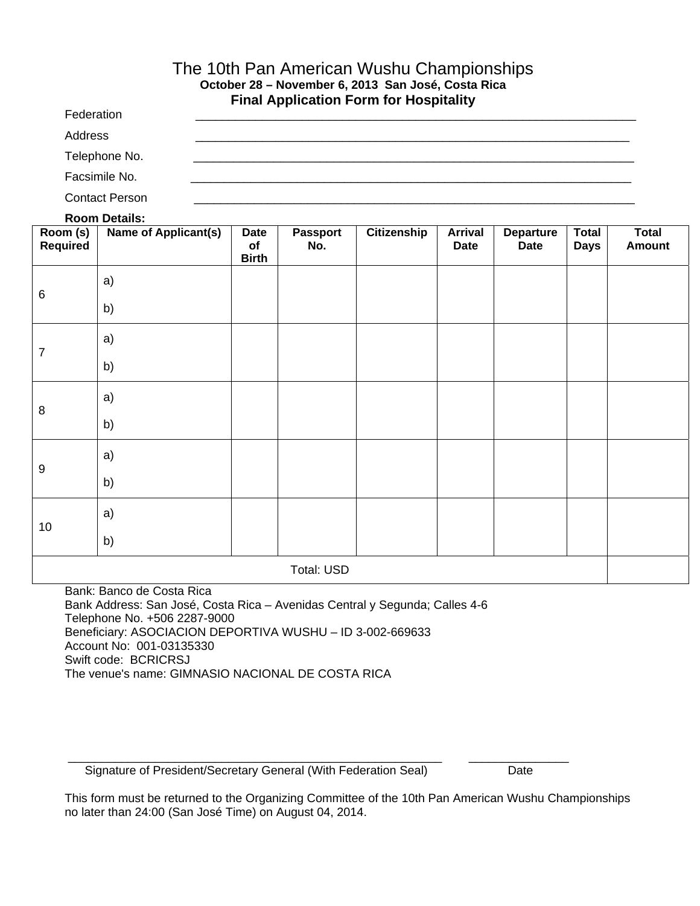#### The 10th Pan American Wushu Championships **October 28 – November 6, 2013 San José, Costa Rica Final Application Form for Hospitality**

Federation \_\_\_\_\_\_\_\_\_\_\_\_\_\_\_\_\_\_\_\_\_\_\_\_\_\_\_\_\_\_\_\_\_\_\_\_\_\_\_\_\_\_\_\_\_\_\_\_\_\_\_\_\_\_\_\_\_\_\_\_\_\_\_\_\_\_ Address \_\_\_\_\_\_\_\_\_\_\_\_\_\_\_\_\_\_\_\_\_\_\_\_\_\_\_\_\_\_\_\_\_\_\_\_\_\_\_\_\_\_\_\_\_\_\_\_\_\_\_\_\_\_\_\_\_\_\_\_\_\_\_\_\_ Telephone No. Facsimile No. Contact Person

#### **Room Details:**

| Room (s)<br><b>Required</b> | <b>Name of Applicant(s)</b> | <b>Date</b><br>of<br><b>Birth</b> | Passport<br>No. | Citizenship | <b>Arrival</b><br><b>Date</b> | <b>Departure</b><br><b>Date</b> | <b>Total</b><br><b>Days</b> | <b>Total</b><br>Amount |
|-----------------------------|-----------------------------|-----------------------------------|-----------------|-------------|-------------------------------|---------------------------------|-----------------------------|------------------------|
| 6                           | a)                          |                                   |                 |             |                               |                                 |                             |                        |
|                             | b)                          |                                   |                 |             |                               |                                 |                             |                        |
| 7                           | a)                          |                                   |                 |             |                               |                                 |                             |                        |
|                             | b)                          |                                   |                 |             |                               |                                 |                             |                        |
| 8                           | a)                          |                                   |                 |             |                               |                                 |                             |                        |
|                             | b)                          |                                   |                 |             |                               |                                 |                             |                        |
| 9                           | a)                          |                                   |                 |             |                               |                                 |                             |                        |
|                             | b)                          |                                   |                 |             |                               |                                 |                             |                        |
| $10$                        | a)                          |                                   |                 |             |                               |                                 |                             |                        |
|                             | b)                          |                                   |                 |             |                               |                                 |                             |                        |
|                             |                             |                                   | Total: USD      |             |                               |                                 |                             |                        |

Bank: Banco de Costa Rica Bank Address: San José, Costa Rica – Avenidas Central y Segunda; Calles 4-6 Telephone No. +506 2287-9000 Beneficiary: ASOCIACION DEPORTIVA WUSHU – ID 3-002-669633 Account No: 001-03135330 Swift code: BCRICRSJ The venue's name: GIMNASIO NACIONAL DE COSTA RICA

Signature of President/Secretary General (With Federation Seal) Date

This form must be returned to the Organizing Committee of the 10th Pan American Wushu Championships no later than 24:00 (San José Time) on August 04, 2014.

\_\_\_\_\_\_\_\_\_\_\_\_\_\_\_\_\_\_\_\_\_\_\_\_\_\_\_\_\_\_\_\_\_\_\_\_\_\_\_\_\_\_\_\_\_\_\_\_\_\_\_\_\_\_\_\_ \_\_\_\_\_\_\_\_\_\_\_\_\_\_\_